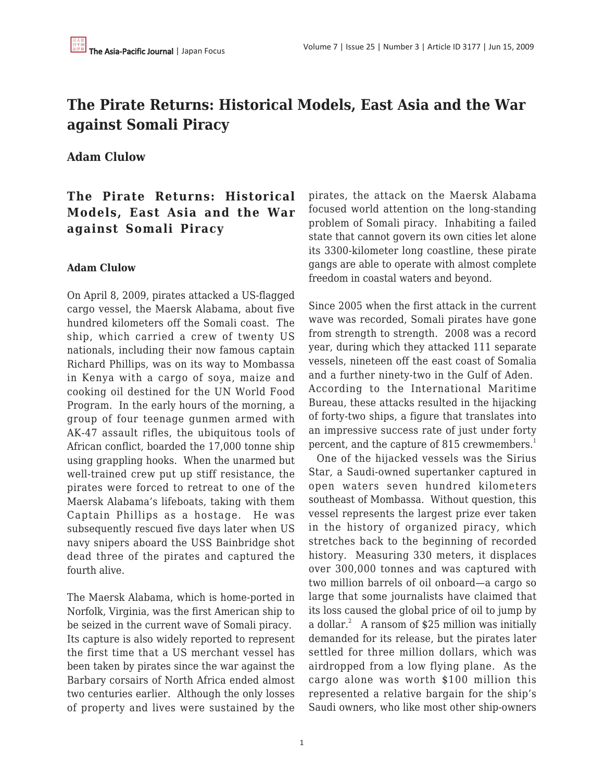# **The Pirate Returns: Historical Models, East Asia and the War against Somali Piracy**

### **Adam Clulow**

## **The Pirate Returns: Historical Models, East Asia and the War against Somali Piracy**

#### **Adam Clulow**

On April 8, 2009, pirates attacked a US-flagged cargo vessel, the Maersk Alabama, about five hundred kilometers off the Somali coast. The ship, which carried a crew of twenty US nationals, including their now famous captain Richard Phillips, was on its way to Mombassa in Kenya with a cargo of soya, maize and cooking oil destined for the UN World Food Program. In the early hours of the morning, a group of four teenage gunmen armed with AK-47 assault rifles, the ubiquitous tools of African conflict, boarded the 17,000 tonne ship using grappling hooks. When the unarmed but well-trained crew put up stiff resistance, the pirates were forced to retreat to one of the Maersk Alabama's lifeboats, taking with them Captain Phillips as a hostage. He was subsequently rescued five days later when US navy snipers aboard the USS Bainbridge shot dead three of the pirates and captured the fourth alive.

The Maersk Alabama, which is home-ported in Norfolk, Virginia, was the first American ship to be seized in the current wave of Somali piracy. Its capture is also widely reported to represent the first time that a US merchant vessel has been taken by pirates since the war against the Barbary corsairs of North Africa ended almost two centuries earlier. Although the only losses of property and lives were sustained by the pirates, the attack on the Maersk Alabama focused world attention on the long-standing problem of Somali piracy. Inhabiting a failed state that cannot govern its own cities let alone its 3300-kilometer long coastline, these pirate gangs are able to operate with almost complete freedom in coastal waters and beyond.

Since 2005 when the first attack in the current wave was recorded, Somali pirates have gone from strength to strength. 2008 was a record year, during which they attacked 111 separate vessels, nineteen off the east coast of Somalia and a further ninety-two in the Gulf of Aden. According to the International Maritime Bureau, these attacks resulted in the hijacking of forty-two ships, a figure that translates into an impressive success rate of just under forty percent, and the capture of 815 crewmembers.<sup>1</sup>

 One of the hijacked vessels was the Sirius Star, a Saudi-owned supertanker captured in open waters seven hundred kilometers southeast of Mombassa. Without question, this vessel represents the largest prize ever taken in the history of organized piracy, which stretches back to the beginning of recorded history. Measuring 330 meters, it displaces over 300,000 tonnes and was captured with two million barrels of oil onboard—a cargo so large that some journalists have claimed that its loss caused the global price of oil to jump by a dollar.<sup>2</sup> A ransom of \$25 million was initially demanded for its release, but the pirates later settled for three million dollars, which was airdropped from a low flying plane. As the cargo alone was worth \$100 million this represented a relative bargain for the ship's Saudi owners, who like most other ship-owners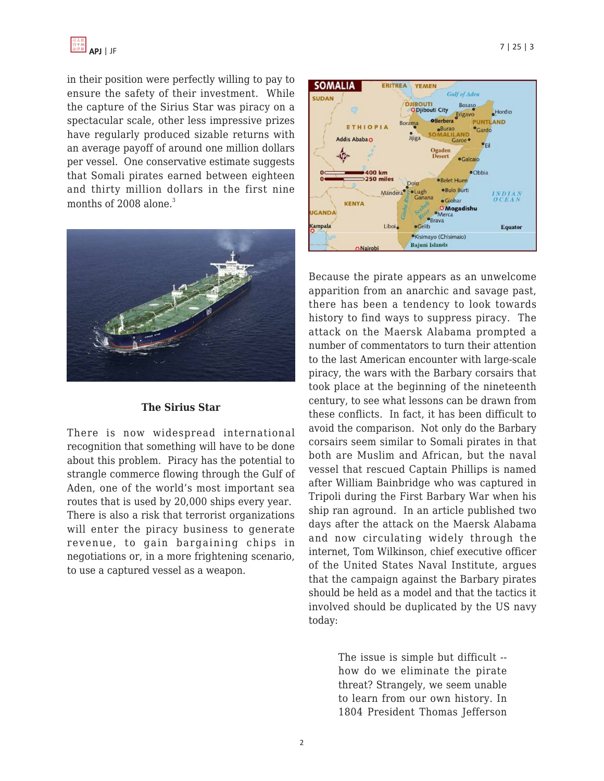

in their position were perfectly willing to pay to ensure the safety of their investment. While the capture of the Sirius Star was piracy on a spectacular scale, other less impressive prizes have regularly produced sizable returns with an average payoff of around one million dollars per vessel. One conservative estimate suggests that Somali pirates earned between eighteen and thirty million dollars in the first nine months of  $2008$  alone.<sup>3</sup>



#### **The Sirius Star**

There is now widespread international recognition that something will have to be done about this problem. Piracy has the potential to strangle commerce flowing through the Gulf of Aden, one of the world's most important sea routes that is used by 20,000 ships every year. There is also a risk that terrorist organizations will enter the piracy business to generate revenue, to gain bargaining chips in negotiations or, in a more frightening scenario, to use a captured vessel as a weapon.



Because the pirate appears as an unwelcome apparition from an anarchic and savage past, there has been a tendency to look towards history to find ways to suppress piracy. The attack on the Maersk Alabama prompted a number of commentators to turn their attention to the last American encounter with large-scale piracy, the wars with the Barbary corsairs that took place at the beginning of the nineteenth century, to see what lessons can be drawn from these conflicts. In fact, it has been difficult to avoid the comparison. Not only do the Barbary corsairs seem similar to Somali pirates in that both are Muslim and African, but the naval vessel that rescued Captain Phillips is named after William Bainbridge who was captured in Tripoli during the First Barbary War when his ship ran aground. In an article published two days after the attack on the Maersk Alabama and now circulating widely through the internet, Tom Wilkinson, chief executive officer of the United States Naval Institute, argues that the campaign against the Barbary pirates should be held as a model and that the tactics it involved should be duplicated by the US navy today:

> The issue is simple but difficult - how do we eliminate the pirate threat? Strangely, we seem unable to learn from our own history. In 1804 President Thomas Jefferson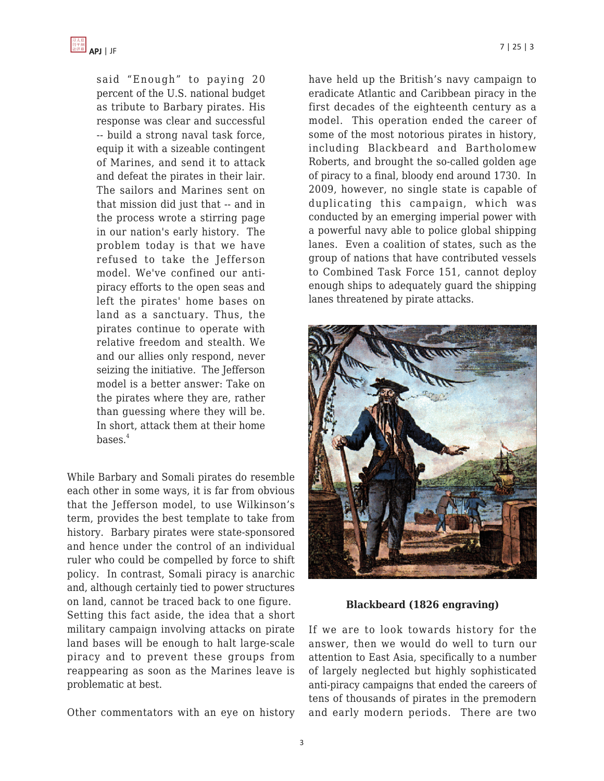said "Enough" to paying 20 percent of the U.S. national budget as tribute to Barbary pirates. His response was clear and successful -- build a strong naval task force, equip it with a sizeable contingent of Marines, and send it to attack and defeat the pirates in their lair. The sailors and Marines sent on that mission did just that -- and in the process wrote a stirring page in our nation's early history. The problem today is that we have refused to take the Jefferson model. We've confined our antipiracy efforts to the open seas and left the pirates' home bases on land as a sanctuary. Thus, the pirates continue to operate with relative freedom and stealth. We and our allies only respond, never seizing the initiative. The Jefferson model is a better answer: Take on the pirates where they are, rather than guessing where they will be. In short, attack them at their home  $bases.<sup>4</sup>$ 

While Barbary and Somali pirates do resemble each other in some ways, it is far from obvious that the Jefferson model, to use Wilkinson's term, provides the best template to take from history. Barbary pirates were state-sponsored and hence under the control of an individual ruler who could be compelled by force to shift policy. In contrast, Somali piracy is anarchic and, although certainly tied to power structures on land, cannot be traced back to one figure. Setting this fact aside, the idea that a short military campaign involving attacks on pirate land bases will be enough to halt large-scale piracy and to prevent these groups from reappearing as soon as the Marines leave is problematic at best.

Other commentators with an eye on history

have held up the British's navy campaign to eradicate Atlantic and Caribbean piracy in the first decades of the eighteenth century as a model. This operation ended the career of some of the most notorious pirates in history, including Blackbeard and Bartholomew Roberts, and brought the so-called golden age of piracy to a final, bloody end around 1730. In 2009, however, no single state is capable of duplicating this campaign, which was conducted by an emerging imperial power with a powerful navy able to police global shipping lanes. Even a coalition of states, such as the group of nations that have contributed vessels to Combined Task Force 151, cannot deploy enough ships to adequately guard the shipping lanes threatened by pirate attacks.



**Blackbeard (1826 engraving)**

If we are to look towards history for the answer, then we would do well to turn our attention to East Asia, specifically to a number of largely neglected but highly sophisticated anti-piracy campaigns that ended the careers of tens of thousands of pirates in the premodern and early modern periods. There are two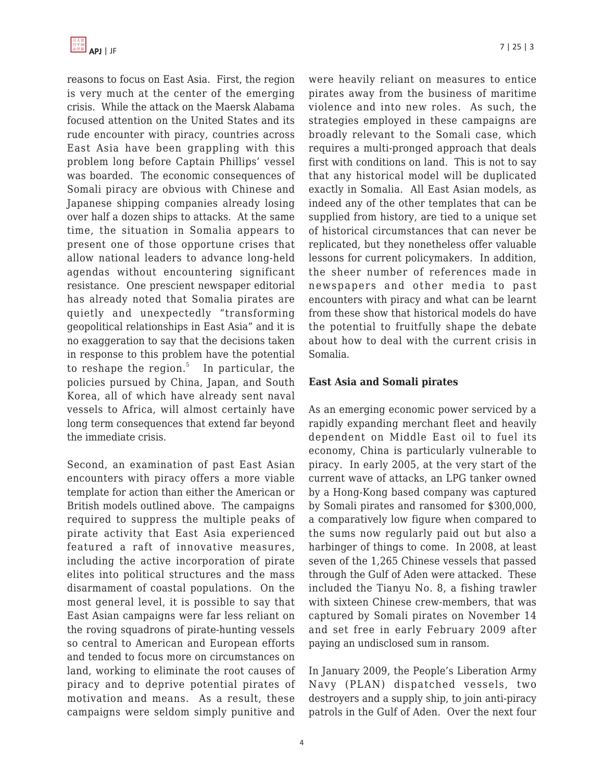

reasons to focus on East Asia. First, the region is very much at the center of the emerging crisis. While the attack on the Maersk Alabama focused attention on the United States and its rude encounter with piracy, countries across East Asia have been grappling with this problem long before Captain Phillips' vessel was boarded. The economic consequences of Somali piracy are obvious with Chinese and Japanese shipping companies already losing over half a dozen ships to attacks. At the same time, the situation in Somalia appears to present one of those opportune crises that allow national leaders to advance long-held agendas without encountering significant resistance. One prescient newspaper editorial has already noted that Somalia pirates are quietly and unexpectedly "transforming geopolitical relationships in East Asia" and it is no exaggeration to say that the decisions taken in response to this problem have the potential to reshape the region.<sup>5</sup> In particular, the policies pursued by China, Japan, and South Korea, all of which have already sent naval vessels to Africa, will almost certainly have long term consequences that extend far beyond the immediate crisis.

Second, an examination of past East Asian encounters with piracy offers a more viable template for action than either the American or British models outlined above. The campaigns required to suppress the multiple peaks of pirate activity that East Asia experienced featured a raft of innovative measures, including the active incorporation of pirate elites into political structures and the mass disarmament of coastal populations. On the most general level, it is possible to say that East Asian campaigns were far less reliant on the roving squadrons of pirate-hunting vessels so central to American and European efforts and tended to focus more on circumstances on land, working to eliminate the root causes of piracy and to deprive potential pirates of motivation and means. As a result, these campaigns were seldom simply punitive and were heavily reliant on measures to entice pirates away from the business of maritime violence and into new roles. As such, the strategies employed in these campaigns are broadly relevant to the Somali case, which requires a multi-pronged approach that deals first with conditions on land. This is not to say that any historical model will be duplicated exactly in Somalia. All East Asian models, as indeed any of the other templates that can be supplied from history, are tied to a unique set of historical circumstances that can never be replicated, but they nonetheless offer valuable lessons for current policymakers. In addition, the sheer number of references made in newspapers and other media to past encounters with piracy and what can be learnt from these show that historical models do have the potential to fruitfully shape the debate about how to deal with the current crisis in Somalia.

#### **East Asia and Somali pirates**

As an emerging economic power serviced by a rapidly expanding merchant fleet and heavily dependent on Middle East oil to fuel its economy, China is particularly vulnerable to piracy. In early 2005, at the very start of the current wave of attacks, an LPG tanker owned by a Hong-Kong based company was captured by Somali pirates and ransomed for \$300,000, a comparatively low figure when compared to the sums now regularly paid out but also a harbinger of things to come. In 2008, at least seven of the 1,265 Chinese vessels that passed through the Gulf of Aden were attacked. These included the Tianyu No. 8, a fishing trawler with sixteen Chinese crew-members, that was captured by Somali pirates on November 14 and set free in early February 2009 after paying an undisclosed sum in ransom.

In January 2009, the People's Liberation Army Navy (PLAN) dispatched vessels, two destroyers and a supply ship, to join anti-piracy patrols in the Gulf of Aden. Over the next four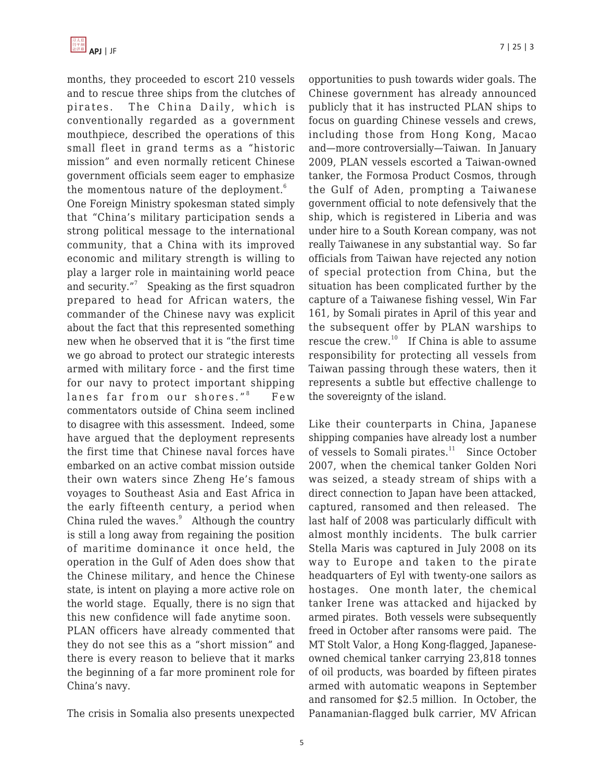months, they proceeded to escort 210 vessels and to rescue three ships from the clutches of pirates. The China Daily, which is conventionally regarded as a government mouthpiece, described the operations of this small fleet in grand terms as a "historic mission" and even normally reticent Chinese government officials seem eager to emphasize the momentous nature of the deployment. $6$ 

One Foreign Ministry spokesman stated simply that "China's military participation sends a strong political message to the international community, that a China with its improved economic and military strength is willing to play a larger role in maintaining world peace and security."<sup>7</sup> Speaking as the first squadron prepared to head for African waters, the commander of the Chinese navy was explicit about the fact that this represented something new when he observed that it is "the first time we go abroad to protect our strategic interests armed with military force - and the first time for our navy to protect important shipping lanes far from our shores."<sup>8</sup> Few commentators outside of China seem inclined to disagree with this assessment. Indeed, some have argued that the deployment represents the first time that Chinese naval forces have embarked on an active combat mission outside their own waters since Zheng He's famous voyages to Southeast Asia and East Africa in the early fifteenth century, a period when China ruled the waves. $9$  Although the country is still a long away from regaining the position of maritime dominance it once held, the operation in the Gulf of Aden does show that the Chinese military, and hence the Chinese state, is intent on playing a more active role on the world stage. Equally, there is no sign that this new confidence will fade anytime soon. PLAN officers have already commented that they do not see this as a "short mission" and there is every reason to believe that it marks the beginning of a far more prominent role for China's navy.

The crisis in Somalia also presents unexpected

opportunities to push towards wider goals. The Chinese government has already announced publicly that it has instructed PLAN ships to focus on guarding Chinese vessels and crews, including those from Hong Kong, Macao and—more controversially—Taiwan. In January 2009, PLAN vessels escorted a Taiwan-owned tanker, the Formosa Product Cosmos, through the Gulf of Aden, prompting a Taiwanese government official to note defensively that the ship, which is registered in Liberia and was under hire to a South Korean company, was not really Taiwanese in any substantial way. So far officials from Taiwan have rejected any notion of special protection from China, but the situation has been complicated further by the capture of a Taiwanese fishing vessel, Win Far 161, by Somali pirates in April of this year and the subsequent offer by PLAN warships to rescue the crew.<sup>10</sup> If China is able to assume responsibility for protecting all vessels from Taiwan passing through these waters, then it represents a subtle but effective challenge to the sovereignty of the island.

Like their counterparts in China, Japanese shipping companies have already lost a number of vessels to Somali pirates. $11$  Since October 2007, when the chemical tanker Golden Nori was seized, a steady stream of ships with a direct connection to Japan have been attacked, captured, ransomed and then released. The last half of 2008 was particularly difficult with almost monthly incidents. The bulk carrier Stella Maris was captured in July 2008 on its way to Europe and taken to the pirate headquarters of Eyl with twenty-one sailors as hostages. One month later, the chemical tanker Irene was attacked and hijacked by armed pirates. Both vessels were subsequently freed in October after ransoms were paid. The MT Stolt Valor, a Hong Kong-flagged, Japaneseowned chemical tanker carrying 23,818 tonnes of oil products, was boarded by fifteen pirates armed with automatic weapons in September and ransomed for \$2.5 million. In October, the Panamanian-flagged bulk carrier, MV African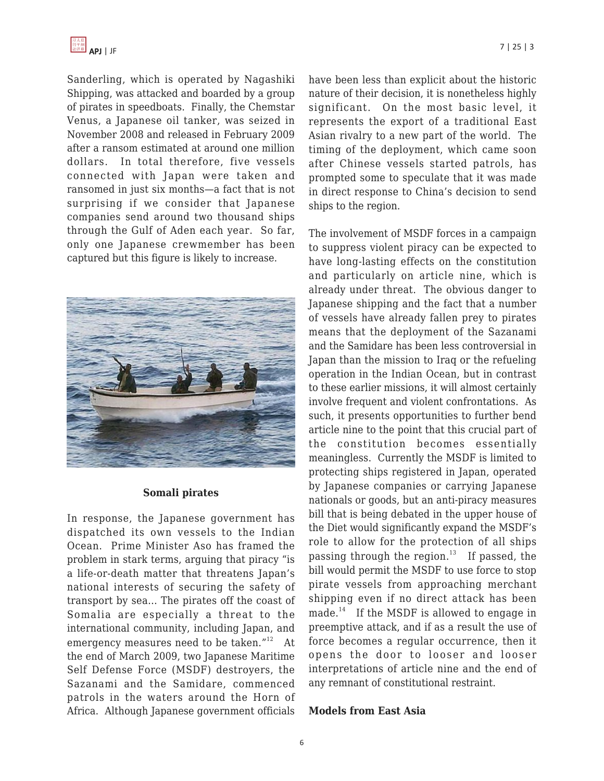Sanderling, which is operated by Nagashiki Shipping, was attacked and boarded by a group of pirates in speedboats. Finally, the Chemstar Venus, a Japanese oil tanker, was seized in November 2008 and released in February 2009 after a ransom estimated at around one million dollars. In total therefore, five vessels connected with Japan were taken and ransomed in just six months—a fact that is not surprising if we consider that Japanese companies send around two thousand ships through the Gulf of Aden each year. So far, only one Japanese crewmember has been captured but this figure is likely to increase.



#### **Somali pirates**

In response, the Japanese government has dispatched its own vessels to the Indian Ocean. Prime Minister Aso has framed the problem in stark terms, arguing that piracy "is a life-or-death matter that threatens Japan's national interests of securing the safety of transport by sea… The pirates off the coast of Somalia are especially a threat to the international community, including Japan, and emergency measures need to be taken."<sup>12</sup> At the end of March 2009, two Japanese Maritime Self Defense Force (MSDF) destroyers, the Sazanami and the Samidare, commenced patrols in the waters around the Horn of Africa. Although Japanese government officials have been less than explicit about the historic nature of their decision, it is nonetheless highly significant. On the most basic level, it represents the export of a traditional East Asian rivalry to a new part of the world. The timing of the deployment, which came soon after Chinese vessels started patrols, has prompted some to speculate that it was made in direct response to China's decision to send ships to the region.

The involvement of MSDF forces in a campaign to suppress violent piracy can be expected to have long-lasting effects on the constitution and particularly on article nine, which is already under threat. The obvious danger to Japanese shipping and the fact that a number of vessels have already fallen prey to pirates means that the deployment of the Sazanami and the Samidare has been less controversial in Japan than the mission to Iraq or the refueling operation in the Indian Ocean, but in contrast to these earlier missions, it will almost certainly involve frequent and violent confrontations. As such, it presents opportunities to further bend article nine to the point that this crucial part of the constitution becomes essentially meaningless. Currently the MSDF is limited to protecting ships registered in Japan, operated by Japanese companies or carrying Japanese nationals or goods, but an anti-piracy measures bill that is being debated in the upper house of the Diet would significantly expand the MSDF's role to allow for the protection of all ships passing through the region.<sup>13</sup> If passed, the bill would permit the MSDF to use force to stop pirate vessels from approaching merchant shipping even if no direct attack has been made.<sup>14</sup> If the MSDF is allowed to engage in preemptive attack, and if as a result the use of force becomes a regular occurrence, then it opens the door to looser and looser interpretations of article nine and the end of any remnant of constitutional restraint.

#### **Models from East Asia**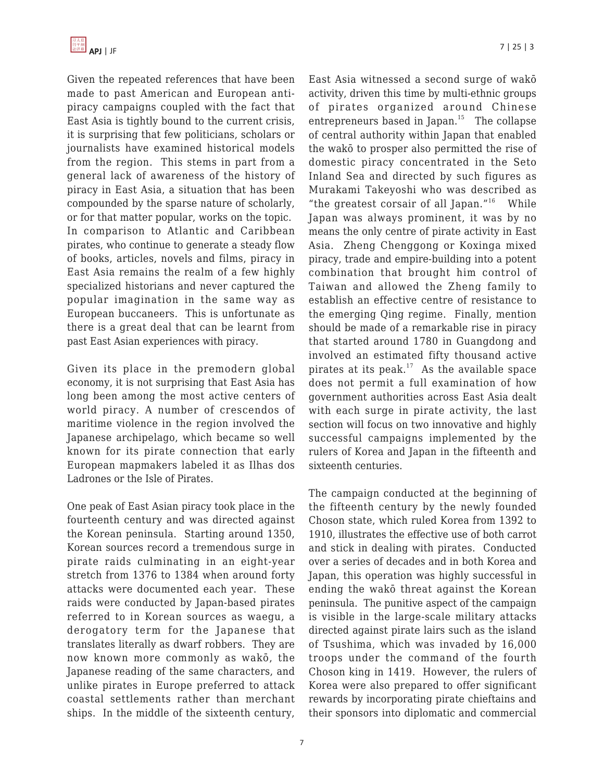Given the repeated references that have been made to past American and European antipiracy campaigns coupled with the fact that East Asia is tightly bound to the current crisis, it is surprising that few politicians, scholars or journalists have examined historical models from the region. This stems in part from a general lack of awareness of the history of piracy in East Asia, a situation that has been compounded by the sparse nature of scholarly, or for that matter popular, works on the topic. In comparison to Atlantic and Caribbean pirates, who continue to generate a steady flow of books, articles, novels and films, piracy in East Asia remains the realm of a few highly specialized historians and never captured the popular imagination in the same way as European buccaneers. This is unfortunate as there is a great deal that can be learnt from past East Asian experiences with piracy.

Given its place in the premodern global economy, it is not surprising that East Asia has long been among the most active centers of world piracy. A number of crescendos of maritime violence in the region involved the Japanese archipelago, which became so well known for its pirate connection that early European mapmakers labeled it as Ilhas dos Ladrones or the Isle of Pirates.

One peak of East Asian piracy took place in the fourteenth century and was directed against the Korean peninsula. Starting around 1350, Korean sources record a tremendous surge in pirate raids culminating in an eight-year stretch from 1376 to 1384 when around forty attacks were documented each year. These raids were conducted by Japan-based pirates referred to in Korean sources as waegu, a derogatory term for the Japanese that translates literally as dwarf robbers. They are now known more commonly as wakō, the Japanese reading of the same characters, and unlike pirates in Europe preferred to attack coastal settlements rather than merchant ships. In the middle of the sixteenth century,

East Asia witnessed a second surge of wakō activity, driven this time by multi-ethnic groups of pirates organized around Chinese entrepreneurs based in Japan. $15$  The collapse of central authority within Japan that enabled the wakō to prosper also permitted the rise of domestic piracy concentrated in the Seto Inland Sea and directed by such figures as Murakami Takeyoshi who was described as "the greatest corsair of all Japan." $16$  While Japan was always prominent, it was by no means the only centre of pirate activity in East Asia. Zheng Chenggong or Koxinga mixed piracy, trade and empire-building into a potent combination that brought him control of Taiwan and allowed the Zheng family to establish an effective centre of resistance to the emerging Qing regime. Finally, mention should be made of a remarkable rise in piracy that started around 1780 in Guangdong and involved an estimated fifty thousand active pirates at its peak. $17$  As the available space does not permit a full examination of how government authorities across East Asia dealt with each surge in pirate activity, the last section will focus on two innovative and highly successful campaigns implemented by the rulers of Korea and Japan in the fifteenth and sixteenth centuries.

The campaign conducted at the beginning of the fifteenth century by the newly founded Choson state, which ruled Korea from 1392 to 1910, illustrates the effective use of both carrot and stick in dealing with pirates. Conducted over a series of decades and in both Korea and Japan, this operation was highly successful in ending the wakō threat against the Korean peninsula. The punitive aspect of the campaign is visible in the large-scale military attacks directed against pirate lairs such as the island of Tsushima, which was invaded by 16,000 troops under the command of the fourth Choson king in 1419. However, the rulers of Korea were also prepared to offer significant rewards by incorporating pirate chieftains and their sponsors into diplomatic and commercial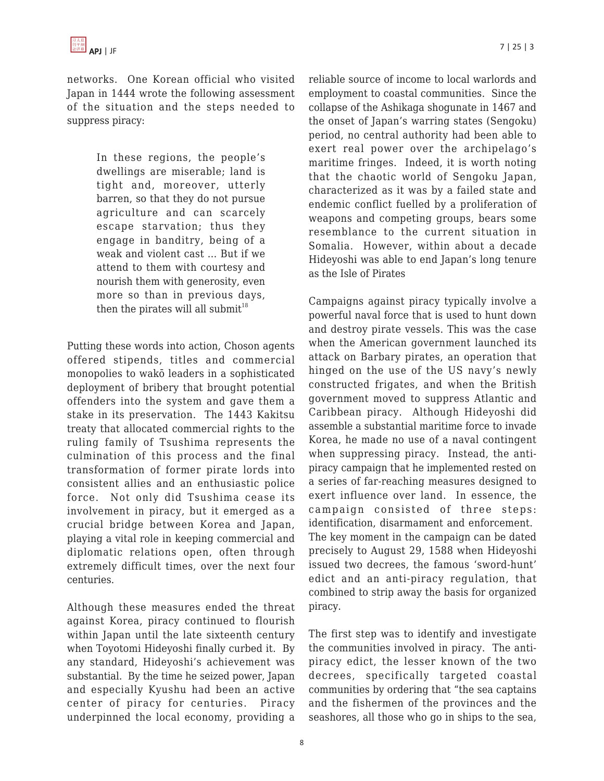networks. One Korean official who visited Japan in 1444 wrote the following assessment of the situation and the steps needed to suppress piracy:

> In these regions, the people's dwellings are miserable; land is tight and, moreover, utterly barren, so that they do not pursue agriculture and can scarcely escape starvation; thus they engage in banditry, being of a weak and violent cast … But if we attend to them with courtesy and nourish them with generosity, even more so than in previous days, then the pirates will all submit $18$

Putting these words into action, Choson agents offered stipends, titles and commercial monopolies to wakō leaders in a sophisticated deployment of bribery that brought potential offenders into the system and gave them a stake in its preservation. The 1443 Kakitsu treaty that allocated commercial rights to the ruling family of Tsushima represents the culmination of this process and the final transformation of former pirate lords into consistent allies and an enthusiastic police force. Not only did Tsushima cease its involvement in piracy, but it emerged as a crucial bridge between Korea and Japan, playing a vital role in keeping commercial and diplomatic relations open, often through extremely difficult times, over the next four centuries.

Although these measures ended the threat against Korea, piracy continued to flourish within Japan until the late sixteenth century when Toyotomi Hideyoshi finally curbed it. By any standard, Hideyoshi's achievement was substantial. By the time he seized power, Japan and especially Kyushu had been an active center of piracy for centuries. Piracy underpinned the local economy, providing a reliable source of income to local warlords and employment to coastal communities. Since the collapse of the Ashikaga shogunate in 1467 and the onset of Japan's warring states (Sengoku) period, no central authority had been able to exert real power over the archipelago's maritime fringes. Indeed, it is worth noting that the chaotic world of Sengoku Japan, characterized as it was by a failed state and endemic conflict fuelled by a proliferation of weapons and competing groups, bears some resemblance to the current situation in Somalia. However, within about a decade Hideyoshi was able to end Japan's long tenure as the Isle of Pirates

Campaigns against piracy typically involve a powerful naval force that is used to hunt down and destroy pirate vessels. This was the case when the American government launched its attack on Barbary pirates, an operation that hinged on the use of the US navy's newly constructed frigates, and when the British government moved to suppress Atlantic and Caribbean piracy. Although Hideyoshi did assemble a substantial maritime force to invade Korea, he made no use of a naval contingent when suppressing piracy. Instead, the antipiracy campaign that he implemented rested on a series of far-reaching measures designed to exert influence over land. In essence, the campaign consisted of three steps: identification, disarmament and enforcement. The key moment in the campaign can be dated precisely to August 29, 1588 when Hideyoshi issued two decrees, the famous 'sword-hunt' edict and an anti-piracy regulation, that combined to strip away the basis for organized piracy.

The first step was to identify and investigate the communities involved in piracy. The antipiracy edict, the lesser known of the two decrees, specifically targeted coastal communities by ordering that "the sea captains and the fishermen of the provinces and the seashores, all those who go in ships to the sea,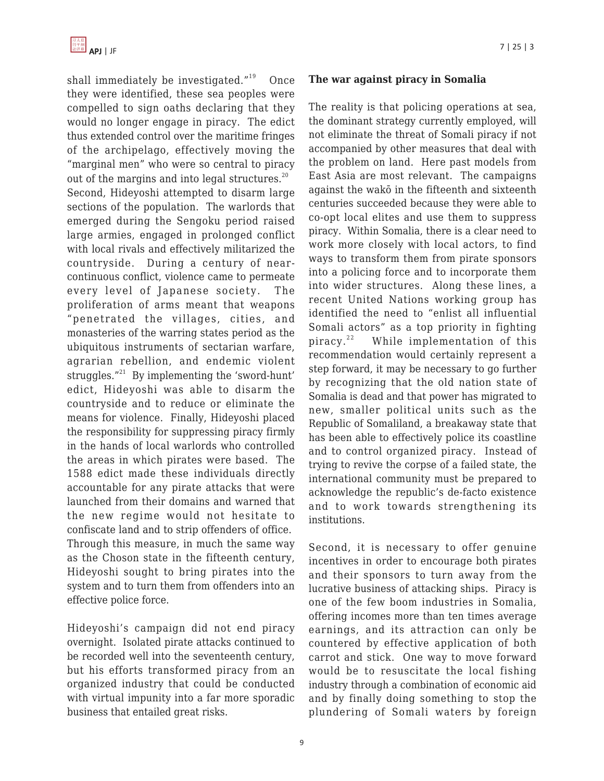shall immediately be investigated. $19^{\circ}$  Once they were identified, these sea peoples were compelled to sign oaths declaring that they would no longer engage in piracy. The edict thus extended control over the maritime fringes of the archipelago, effectively moving the "marginal men" who were so central to piracy out of the margins and into legal structures. $^{20}$ Second, Hideyoshi attempted to disarm large sections of the population. The warlords that emerged during the Sengoku period raised large armies, engaged in prolonged conflict with local rivals and effectively militarized the countryside. During a century of nearcontinuous conflict, violence came to permeate every level of Japanese society. The proliferation of arms meant that weapons "penetrated the villages, cities, and monasteries of the warring states period as the ubiquitous instruments of sectarian warfare, agrarian rebellion, and endemic violent struggles. $"^{21}$  By implementing the 'sword-hunt' edict, Hideyoshi was able to disarm the countryside and to reduce or eliminate the means for violence. Finally, Hideyoshi placed the responsibility for suppressing piracy firmly in the hands of local warlords who controlled the areas in which pirates were based. The 1588 edict made these individuals directly accountable for any pirate attacks that were launched from their domains and warned that the new regime would not hesitate to confiscate land and to strip offenders of office. Through this measure, in much the same way as the Choson state in the fifteenth century, Hideyoshi sought to bring pirates into the system and to turn them from offenders into an effective police force.

Hideyoshi's campaign did not end piracy overnight. Isolated pirate attacks continued to be recorded well into the seventeenth century, but his efforts transformed piracy from an organized industry that could be conducted with virtual impunity into a far more sporadic business that entailed great risks.

#### **The war against piracy in Somalia**

The reality is that policing operations at sea, the dominant strategy currently employed, will not eliminate the threat of Somali piracy if not accompanied by other measures that deal with the problem on land. Here past models from East Asia are most relevant. The campaigns against the wakō in the fifteenth and sixteenth centuries succeeded because they were able to co-opt local elites and use them to suppress piracy. Within Somalia, there is a clear need to work more closely with local actors, to find ways to transform them from pirate sponsors into a policing force and to incorporate them into wider structures. Along these lines, a recent United Nations working group has identified the need to "enlist all influential Somali actors" as a top priority in fighting piracy.<sup>22</sup> While implementation of this recommendation would certainly represent a step forward, it may be necessary to go further by recognizing that the old nation state of Somalia is dead and that power has migrated to new, smaller political units such as the Republic of Somaliland, a breakaway state that has been able to effectively police its coastline and to control organized piracy. Instead of trying to revive the corpse of a failed state, the international community must be prepared to acknowledge the republic's de-facto existence and to work towards strengthening its institutions.

Second, it is necessary to offer genuine incentives in order to encourage both pirates and their sponsors to turn away from the lucrative business of attacking ships. Piracy is one of the few boom industries in Somalia, offering incomes more than ten times average earnings, and its attraction can only be countered by effective application of both carrot and stick. One way to move forward would be to resuscitate the local fishing industry through a combination of economic aid and by finally doing something to stop the plundering of Somali waters by foreign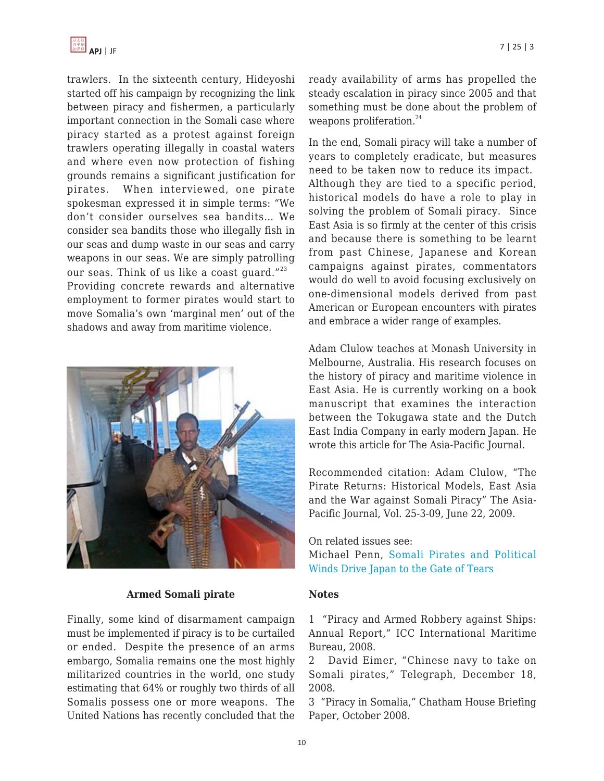

trawlers. In the sixteenth century, Hideyoshi started off his campaign by recognizing the link between piracy and fishermen, a particularly important connection in the Somali case where piracy started as a protest against foreign trawlers operating illegally in coastal waters and where even now protection of fishing grounds remains a significant justification for pirates. When interviewed, one pirate spokesman expressed it in simple terms: "We don't consider ourselves sea bandits… We consider sea bandits those who illegally fish in our seas and dump waste in our seas and carry weapons in our seas. We are simply patrolling our seas. Think of us like a coast guard." $^{23}$ Providing concrete rewards and alternative employment to former pirates would start to move Somalia's own 'marginal men' out of the shadows and away from maritime violence.



#### **Armed Somali pirate**

Finally, some kind of disarmament campaign must be implemented if piracy is to be curtailed or ended. Despite the presence of an arms embargo, Somalia remains one the most highly militarized countries in the world, one study estimating that 64% or roughly two thirds of all Somalis possess one or more weapons. The United Nations has recently concluded that the ready availability of arms has propelled the steady escalation in piracy since 2005 and that something must be done about the problem of weapons proliferation.<sup>24</sup>

In the end, Somali piracy will take a number of years to completely eradicate, but measures need to be taken now to reduce its impact. Although they are tied to a specific period, historical models do have a role to play in solving the problem of Somali piracy. Since East Asia is so firmly at the center of this crisis and because there is something to be learnt from past Chinese, Japanese and Korean campaigns against pirates, commentators would do well to avoid focusing exclusively on one-dimensional models derived from past American or European encounters with pirates and embrace a wider range of examples.

Adam Clulow teaches at Monash University in Melbourne, Australia. His research focuses on the history of piracy and maritime violence in East Asia. He is currently working on a book manuscript that examines the interaction between the Tokugawa state and the Dutch East India Company in early modern Japan. He wrote this article for The Asia-Pacific Journal.

Recommended citation: Adam Clulow, "The Pirate Returns: Historical Models, East Asia and the War against Somali Piracy" The Asia-Pacific Journal, Vol. 25-3-09, June 22, 2009.

On related issues see:

Michael Penn, [Somali Pirates and Political](http://www.japanfocus.org/-Michael-Penn/3022) [Winds Drive Japan to the Gate of Tears](http://www.japanfocus.org/-Michael-Penn/3022)

#### **Notes**

1 "Piracy and Armed Robbery against Ships: Annual Report," ICC International Maritime Bureau, 2008.

2 David Eimer, "Chinese navy to take on Somali pirates," Telegraph, December 18, 2008.

3 "Piracy in Somalia," Chatham House Briefing Paper, October 2008.